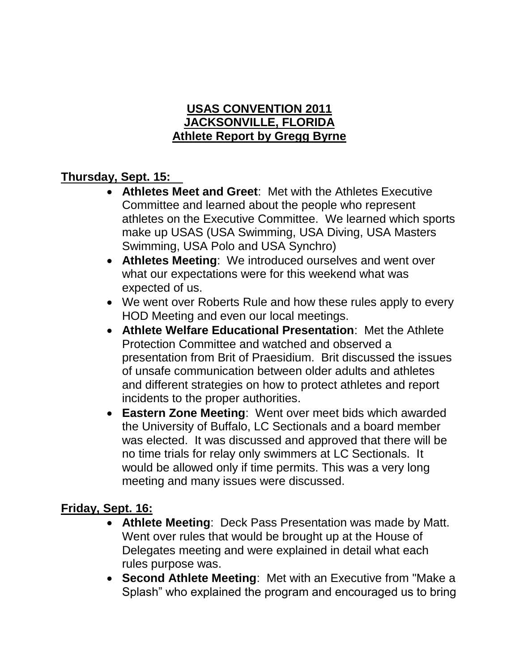## **USAS CONVENTION 2011 JACKSONVILLE, FLORIDA Athlete Report by Gregg Byrne**

## **Thursday, Sept. 15:**

- **Athletes Meet and Greet**: Met with the Athletes Executive Committee and learned about the people who represent athletes on the Executive Committee. We learned which sports make up USAS (USA Swimming, USA Diving, USA Masters Swimming, USA Polo and USA Synchro)
- **Athletes Meeting**: We introduced ourselves and went over what our expectations were for this weekend what was expected of us.
- We went over Roberts Rule and how these rules apply to every HOD Meeting and even our local meetings.
- **Athlete Welfare Educational Presentation**: Met the Athlete Protection Committee and watched and observed a presentation from Brit of Praesidium. Brit discussed the issues of unsafe communication between older adults and athletes and different strategies on how to protect athletes and report incidents to the proper authorities.
- **Eastern Zone Meeting**: Went over meet bids which awarded the University of Buffalo, LC Sectionals and a board member was elected. It was discussed and approved that there will be no time trials for relay only swimmers at LC Sectionals. It would be allowed only if time permits. This was a very long meeting and many issues were discussed.

## **Friday, Sept. 16:**

- **Athlete Meeting**: Deck Pass Presentation was made by Matt. Went over rules that would be brought up at the House of Delegates meeting and were explained in detail what each rules purpose was.
- **Second Athlete Meeting**: Met with an Executive from "Make a Splash" who explained the program and encouraged us to bring